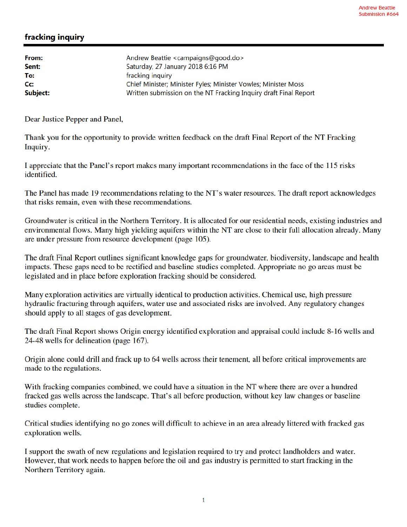## fracking inquiry

| From:    | Andrew Beattie <campaigns@good.do></campaigns@good.do>           |
|----------|------------------------------------------------------------------|
| Sent:    | Saturday, 27 January 2018 6:16 PM                                |
| To:      | fracking inquiry                                                 |
| Cc:      | Chief Minister; Minister Fyles; Minister Vowles; Minister Moss   |
| Subject: | Written submission on the NT Fracking Inquiry draft Final Report |
|          |                                                                  |

Dear Justice Pepper and Panel,

Thank you for the opportunity to provide written feedback on the draft Final Report of the NT Fracking Inquiry.

I appreciate that the Panel's report makes many important recommendations in the face of the 115 risks identified.

The Panel has made 19 recommendations relating to the NT's water resources. The draft report acknowledges that risks remain, even with these recommendations.

Groundwater is critical in the Northern Territory. It is allocated for our residential needs, existing industries and environmental flows. Many high yielding aquifers within the NT are close to their full allocation already. Many are under pressure from resource development (page 105).

The draft Final Report outlines significant knowledge gaps for groundwater, biodiversity, landscape and health impacts. These gaps need to be rectified and baseline studies completed. Appropriate no go areas must be legislated and in place before exploration fracking should be considered.

Many exploration activities are virtually identical to production activities. Chemical use, high pressure hydraulic fracturing through aquifers, water use and associated risks are involved. Any regulatory changes should apply to all stages of gas development.

The draft Final Report shows Origin energy identified exploration and appraisal could include 8-16 wells and 24-48 wells for delineation (page 167).

Origin alone could drill and frack up to 64 wells across their tenement, all before critical improvements are made to the regulations.

With fracking companies combined, we could have a situation in the NT where there are over a hundred fracked gas wells across the landscape. That's all before production, without key law changes or baseline studies complete.

Critical studies identifying no go zones will difficult to achieve in an area already littered with fracked gas exploration wells.

I support the swath of new regulations and legislation required to try and protect landholders and water. However, that work needs to happen before the oil and gas industry is permitted to start fracking in the Northern Territory again.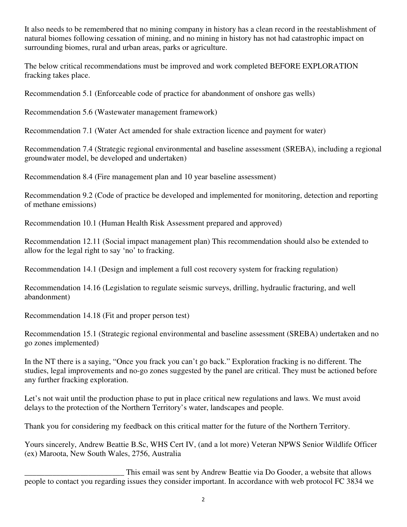It also needs to be remembered that no mining company in history has a clean record in the reestablishment of natural biomes following cessation of mining, and no mining in history has not had catastrophic impact on surrounding biomes, rural and urban areas, parks or agriculture.

The below critical recommendations must be improved and work completed BEFORE EXPLORATION fracking takes place.

Recommendation 5.1 (Enforceable code of practice for abandonment of onshore gas wells)

Recommendation 5.6 (Wastewater management framework)

Recommendation 7.1 (Water Act amended for shale extraction licence and payment for water)

Recommendation 7.4 (Strategic regional environmental and baseline assessment (SREBA), including a regional groundwater model, be developed and undertaken)

Recommendation 8.4 (Fire management plan and 10 year baseline assessment)

Recommendation 9.2 (Code of practice be developed and implemented for monitoring, detection and reporting of methane emissions)

Recommendation 10.1 (Human Health Risk Assessment prepared and approved)

Recommendation 12.11 (Social impact management plan) This recommendation should also be extended to allow for the legal right to say 'no' to fracking.

Recommendation 14.1 (Design and implement a full cost recovery system for fracking regulation)

Recommendation 14.16 (Legislation to regulate seismic surveys, drilling, hydraulic fracturing, and well abandonment)

Recommendation 14.18 (Fit and proper person test)

Recommendation 15.1 (Strategic regional environmental and baseline assessment (SREBA) undertaken and no go zones implemented)

In the NT there is a saying, "Once you frack you can't go back." Exploration fracking is no different. The studies, legal improvements and no-go zones suggested by the panel are critical. They must be actioned before any further fracking exploration.

Let's not wait until the production phase to put in place critical new regulations and laws. We must avoid delays to the protection of the Northern Territory's water, landscapes and people.

Thank you for considering my feedback on this critical matter for the future of the Northern Territory.

Yours sincerely, Andrew Beattie B.Sc, WHS Cert IV, (and a lot more) Veteran NPWS Senior Wildlife Officer (ex) Maroota, New South Wales, 2756, Australia

This email was sent by Andrew Beattie via Do Gooder, a website that allows<br>people to contact you regarding issues they consider important. In accordance with web protocol FC 3834 we